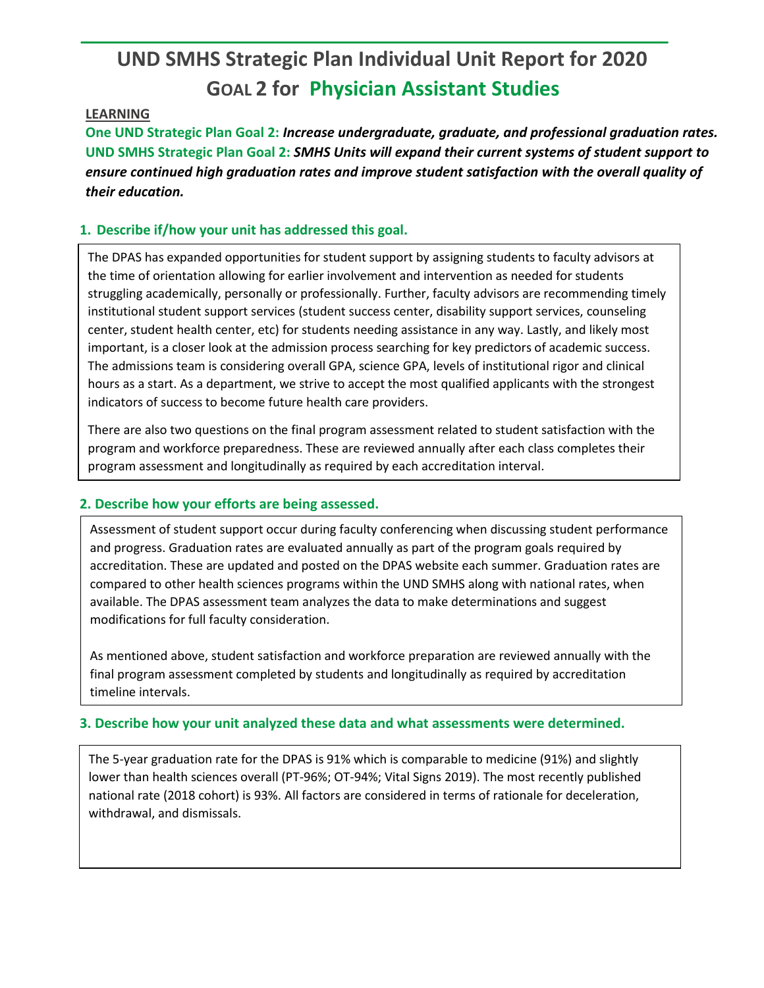# **UND SMHS Strategic Plan Individual Unit Report for 2020 GOAL 2 for Physician Assistant Studies**

#### **LEARNING**

**One UND Strategic Plan Goal 2:** *Increase undergraduate, graduate, and professional graduation rates.* **UND SMHS Strategic Plan Goal 2:** *SMHS Units will expand their current systems of student support to ensure continued high graduation rates and improve student satisfaction with the overall quality of their education.*

# **1. Describe if/how your unit has addressed this goal.**

The DPAS has expanded opportunities for student support by assigning students to faculty advisors at the time of orientation allowing for earlier involvement and intervention as needed for students struggling academically, personally or professionally. Further, faculty advisors are recommending timely institutional student support services (student success center, disability support services, counseling center, student health center, etc) for students needing assistance in any way. Lastly, and likely most important, is a closer look at the admission process searching for key predictors of academic success. The admissions team is considering overall GPA, science GPA, levels of institutional rigor and clinical hours as a start. As a department, we strive to accept the most qualified applicants with the strongest indicators of success to become future health care providers.

There are also two questions on the final program assessment related to student satisfaction with the program and workforce preparedness. These are reviewed annually after each class completes their program assessment and longitudinally as required by each accreditation interval.

## **2. Describe how your efforts are being assessed.**

Assessment of student support occur during faculty conferencing when discussing student performance and progress. Graduation rates are evaluated annually as part of the program goals required by accreditation. These are updated and posted on the DPAS website each summer. Graduation rates are compared to other health sciences programs within the UND SMHS along with national rates, when available. The DPAS assessment team analyzes the data to make determinations and suggest modifications for full faculty consideration.

As mentioned above, student satisfaction and workforce preparation are reviewed annually with the final program assessment completed by students and longitudinally as required by accreditation timeline intervals.

## **3. Describe how your unit analyzed these data and what assessments were determined.**

The 5-year graduation rate for the DPAS is 91% which is comparable to medicine (91%) and slightly lower than health sciences overall (PT-96%; OT-94%; Vital Signs 2019). The most recently published national rate (2018 cohort) is 93%. All factors are considered in terms of rationale for deceleration, withdrawal, and dismissals.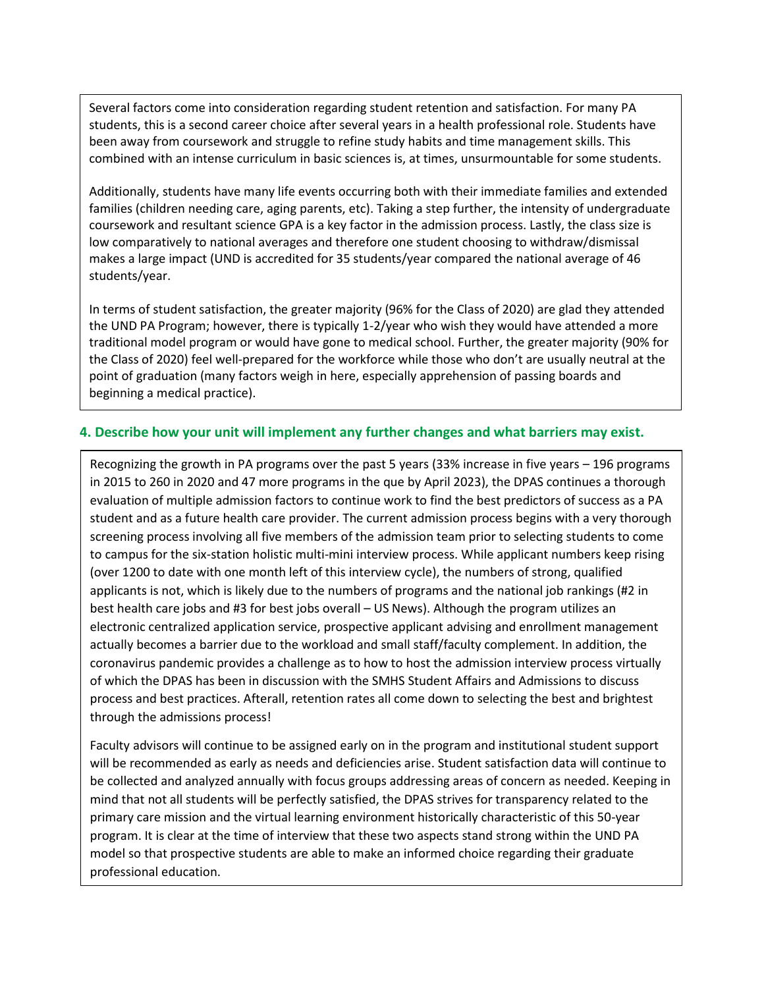Several factors come into consideration regarding student retention and satisfaction. For many PA students, this is a second career choice after several years in a health professional role. Students have been away from coursework and struggle to refine study habits and time management skills. This combined with an intense curriculum in basic sciences is, at times, unsurmountable for some students.

Additionally, students have many life events occurring both with their immediate families and extended families (children needing care, aging parents, etc). Taking a step further, the intensity of undergraduate coursework and resultant science GPA is a key factor in the admission process. Lastly, the class size is low comparatively to national averages and therefore one student choosing to withdraw/dismissal makes a large impact (UND is accredited for 35 students/year compared the national average of 46 students/year.

In terms of student satisfaction, the greater majority (96% for the Class of 2020) are glad they attended the UND PA Program; however, there is typically 1-2/year who wish they would have attended a more traditional model program or would have gone to medical school. Further, the greater majority (90% for the Class of 2020) feel well-prepared for the workforce while those who don't are usually neutral at the point of graduation (many factors weigh in here, especially apprehension of passing boards and beginning a medical practice).

#### **4. Describe how your unit will implement any further changes and what barriers may exist.**

Recognizing the growth in PA programs over the past 5 years (33% increase in five years – 196 programs in 2015 to 260 in 2020 and 47 more programs in the que by April 2023), the DPAS continues a thorough evaluation of multiple admission factors to continue work to find the best predictors of success as a PA student and as a future health care provider. The current admission process begins with a very thorough screening process involving all five members of the admission team prior to selecting students to come to campus for the six-station holistic multi-mini interview process. While applicant numbers keep rising (over 1200 to date with one month left of this interview cycle), the numbers of strong, qualified applicants is not, which is likely due to the numbers of programs and the national job rankings (#2 in best health care jobs and #3 for best jobs overall – US News). Although the program utilizes an electronic centralized application service, prospective applicant advising and enrollment management actually becomes a barrier due to the workload and small staff/faculty complement. In addition, the coronavirus pandemic provides a challenge as to how to host the admission interview process virtually of which the DPAS has been in discussion with the SMHS Student Affairs and Admissions to discuss process and best practices. Afterall, retention rates all come down to selecting the best and brightest through the admissions process!

Faculty advisors will continue to be assigned early on in the program and institutional student support will be recommended as early as needs and deficiencies arise. Student satisfaction data will continue to be collected and analyzed annually with focus groups addressing areas of concern as needed. Keeping in mind that not all students will be perfectly satisfied, the DPAS strives for transparency related to the primary care mission and the virtual learning environment historically characteristic of this 50-year program. It is clear at the time of interview that these two aspects stand strong within the UND PA model so that prospective students are able to make an informed choice regarding their graduate professional education.